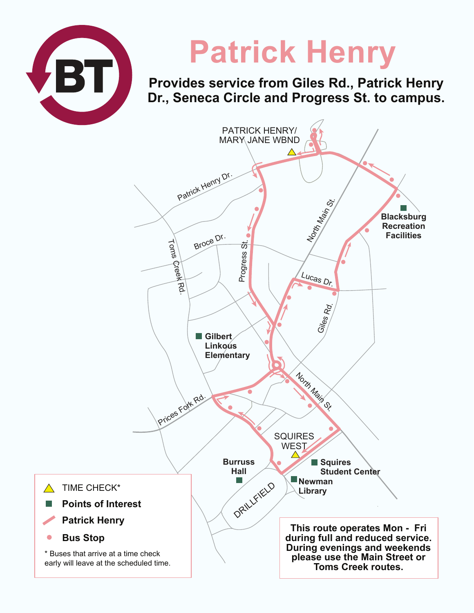

 $\bullet$ 

# **Patrick Henry**

**Provides service from Giles Rd., Patrick Henry Dr., Seneca Circle and Progress St. to campus.**

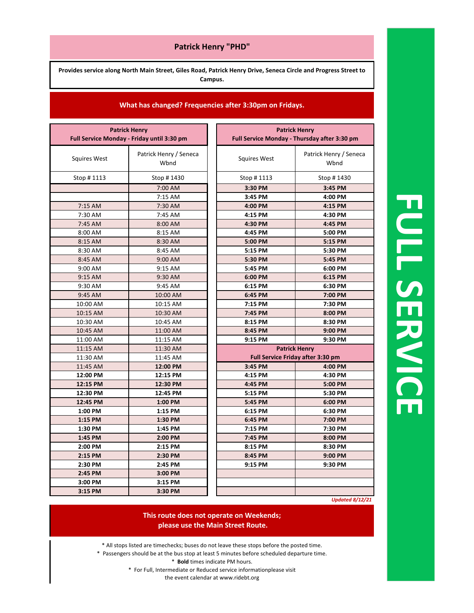### **Patrick Henry "PHD"**

**Provides service along North Main Street, Giles Road, Patrick Henry Drive, Seneca Circle and Progress Street to Campus.**

### **What has changed? Frequencies after 3:30pm on Fridays.**

| <b>Patrick Henry</b>                       |                                | <b>Patrick Henry</b>                         |                                   |
|--------------------------------------------|--------------------------------|----------------------------------------------|-----------------------------------|
| Full Service Monday - Friday until 3:30 pm |                                | Full Service Monday - Thursday after 3:30 pm |                                   |
| <b>Squires West</b>                        | Patrick Henry / Seneca<br>Wbnd | <b>Squires West</b>                          | Patrick Henry / Seneca<br>Wbnd    |
| Stop #1113                                 | Stop #1430                     | Stop #1113                                   | Stop #1430                        |
|                                            | 7:00 AM                        | 3:30 PM                                      | 3:45 PM                           |
|                                            | 7:15 AM                        | 3:45 PM                                      | 4:00 PM                           |
| 7:15 AM                                    | 7:30 AM                        | 4:00 PM                                      | 4:15 PM                           |
| 7:30 AM                                    | 7:45 AM                        | 4:15 PM                                      | 4:30 PM                           |
| 7:45 AM                                    | 8:00 AM                        | 4:30 PM                                      | 4:45 PM                           |
| 8:00 AM                                    | 8:15 AM                        | 4:45 PM                                      | 5:00 PM                           |
| 8:15 AM                                    | 8:30 AM                        | 5:00 PM                                      | 5:15 PM                           |
| 8:30 AM                                    | 8:45 AM                        | 5:15 PM                                      | 5:30 PM                           |
| 8:45 AM                                    | 9:00 AM                        | 5:30 PM                                      | 5:45 PM                           |
| 9:00 AM                                    | 9:15 AM                        | 5:45 PM                                      | 6:00 PM                           |
| 9:15 AM                                    | 9:30 AM                        | 6:00 PM                                      | 6:15 PM                           |
| 9:30 AM                                    | 9:45 AM                        | 6:15 PM                                      | 6:30 PM                           |
| 9:45 AM                                    | 10:00 AM                       | 6:45 PM                                      | 7:00 PM                           |
| 10:00 AM                                   | 10:15 AM                       | 7:15 PM                                      | 7:30 PM                           |
| 10:15 AM                                   | 10:30 AM                       | 7:45 PM                                      | 8:00 PM                           |
| 10:30 AM                                   | 10:45 AM                       | 8:15 PM                                      | 8:30 PM                           |
| 10:45 AM                                   | 11:00 AM                       | 8:45 PM                                      | 9:00 PM                           |
| 11:00 AM                                   | 11:15 AM                       | 9:15 PM                                      | 9:30 PM                           |
| 11:15 AM                                   | 11:30 AM                       |                                              | <b>Patrick Henry</b>              |
| 11:30 AM                                   | 11:45 AM                       |                                              | Full Service Friday after 3:30 pm |
| 11:45 AM                                   | 12:00 PM                       | 3:45 PM                                      | 4:00 PM                           |
| 12:00 PM                                   | 12:15 PM                       | 4:15 PM                                      | 4:30 PM                           |
| 12:15 PM                                   | 12:30 PM                       | 4:45 PM                                      | 5:00 PM                           |
| 12:30 PM                                   | 12:45 PM                       | 5:15 PM                                      | 5:30 PM                           |
| 12:45 PM                                   | 1:00 PM                        | 5:45 PM                                      | 6:00 PM                           |
| 1:00 PM                                    | 1:15 PM                        | 6:15 PM                                      | 6:30 PM                           |
| 1:15 PM                                    | 1:30 PM                        | 6:45 PM                                      | 7:00 PM                           |
| 1:30 PM                                    | 1:45 PM                        | 7:15 PM                                      | 7:30 PM                           |
| 1:45 PM                                    | 2:00 PM                        | 7:45 PM                                      | 8:00 PM                           |
| 2:00 PM                                    | 2:15 PM                        | 8:15 PM                                      | 8:30 PM                           |
| 2:15 PM                                    | 2:30 PM                        | 8:45 PM                                      | 9:00 PM                           |
| 2:30 PM                                    | 2:45 PM                        | 9:15 PM                                      | 9:30 PM                           |
| 2:45 PM                                    | 3:00 PM                        |                                              |                                   |
| 3:00 PM                                    | 3:15 PM                        |                                              |                                   |
| 3:15 PM                                    | 3:30 PM                        |                                              |                                   |

**FULL SERVICE SERVICE**

*Updated 8/12/21*

### **This route does not operate on Weekends; please use the Main Street Route.**

- \* All stops listed are timechecks; buses do not leave these stops before the posted time.
- \* Passengers should be at the bus stop at least 5 minutes before scheduled departure time.
	- \* **Bold** times indicate PM hours.
	- \* For Full, Intermediate or Reduced service informationplease visit

the event calendar at www.ridebt.org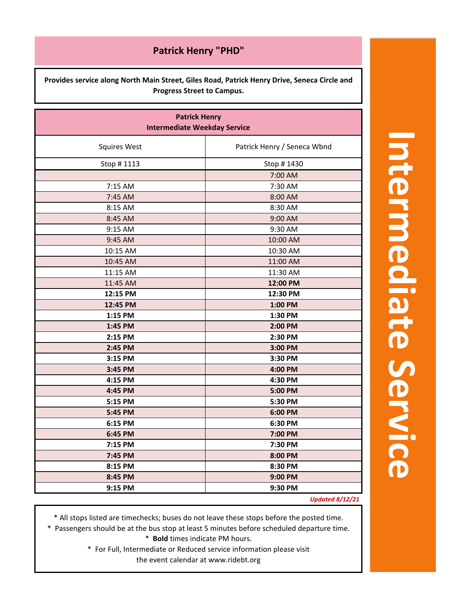**Provides service along North Main Street, Giles Road, Patrick Henry Drive, Seneca Circle and Progress Street to Campus.**

| <b>Patrick Henry</b><br><b>Intermediate Weekday Service</b> |                             |  |  |
|-------------------------------------------------------------|-----------------------------|--|--|
| <b>Squires West</b>                                         | Patrick Henry / Seneca Wbnd |  |  |
| Stop #1113                                                  | Stop #1430                  |  |  |
|                                                             | 7:00 AM                     |  |  |
| 7:15 AM                                                     | 7:30 AM                     |  |  |
| 7:45 AM                                                     | 8:00 AM                     |  |  |
| 8:15 AM                                                     | 8:30 AM                     |  |  |
| 8:45 AM                                                     | 9:00 AM                     |  |  |
| 9:15 AM                                                     | 9:30 AM                     |  |  |
| 9:45 AM                                                     | 10:00 AM                    |  |  |
| 10:15 AM                                                    | 10:30 AM                    |  |  |
| 10:45 AM                                                    | 11:00 AM                    |  |  |
| 11:15 AM                                                    | 11:30 AM                    |  |  |
| 11:45 AM                                                    | 12:00 PM                    |  |  |
| 12:15 PM                                                    | 12:30 PM                    |  |  |
| 12:45 PM                                                    | 1:00 PM                     |  |  |
| 1:15 PM                                                     | 1:30 PM                     |  |  |
| 1:45 PM                                                     | 2:00 PM                     |  |  |
| 2:15 PM                                                     | 2:30 PM                     |  |  |
| 2:45 PM                                                     | 3:00 PM                     |  |  |
| 3:15 PM                                                     | 3:30 PM                     |  |  |
| 3:45 PM                                                     | 4:00 PM                     |  |  |
| 4:15 PM                                                     | 4:30 PM                     |  |  |
| 4:45 PM                                                     | 5:00 PM                     |  |  |
| 5:15 PM                                                     | 5:30 PM                     |  |  |
| 5:45 PM                                                     | 6:00 PM                     |  |  |
| 6:15 PM                                                     | 6:30 PM                     |  |  |
| 6:45 PM                                                     | 7:00 PM                     |  |  |
| 7:15 PM                                                     | 7:30 PM                     |  |  |
| 7:45 PM                                                     | 8:00 PM                     |  |  |
| 8:15 PM                                                     | 8:30 PM                     |  |  |
| 8:45 PM                                                     | 9:00 PM                     |  |  |
| 9:15 PM                                                     | 9:30 PM                     |  |  |
|                                                             | <b>IIndated 8/12/21</b>     |  |  |

*Updated 8/12/21*

\* All stops listed are timechecks; buses do not leave these stops before the posted time.

\* Passengers should be at the bus stop at least 5 minutes before scheduled departure time.

\* **Bold** times indicate PM hours.

\* For Full, Intermediate or Reduced service information please visit the event calendar at www.ridebt.org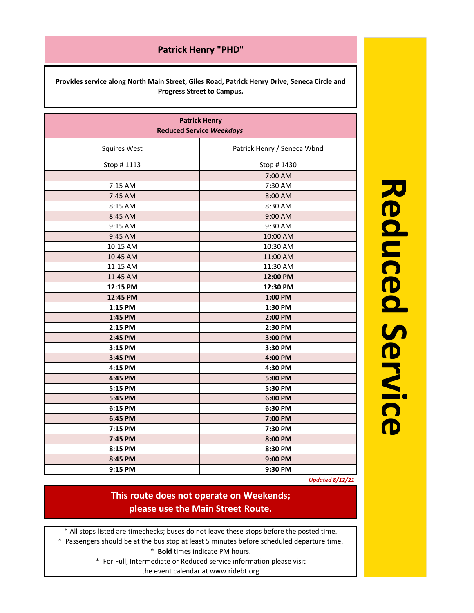**Provides service along North Main Street, Giles Road, Patrick Henry Drive, Seneca Circle and Progress Street to Campus.**

| <b>Patrick Henry</b><br><b>Reduced Service Weekdays</b> |                             |  |  |
|---------------------------------------------------------|-----------------------------|--|--|
| <b>Squires West</b>                                     | Patrick Henry / Seneca Wbnd |  |  |
| Stop # 1113                                             | Stop # 1430                 |  |  |
|                                                         | 7:00 AM                     |  |  |
| 7:15 AM                                                 | 7:30 AM                     |  |  |
| 7:45 AM                                                 | 8:00 AM                     |  |  |
| 8:15 AM                                                 | 8:30 AM                     |  |  |
| 8:45 AM                                                 | 9:00 AM                     |  |  |
| 9:15 AM                                                 | 9:30 AM                     |  |  |
| 9:45 AM                                                 | 10:00 AM                    |  |  |
| 10:15 AM                                                | 10:30 AM                    |  |  |
| 10:45 AM                                                | 11:00 AM                    |  |  |
| 11:15 AM                                                | 11:30 AM                    |  |  |
| 11:45 AM                                                | 12:00 PM                    |  |  |
| 12:15 PM                                                | 12:30 PM                    |  |  |
| 12:45 PM                                                | 1:00 PM                     |  |  |
| 1:15 PM                                                 | 1:30 PM                     |  |  |
| 1:45 PM                                                 | 2:00 PM                     |  |  |
| 2:15 PM                                                 | 2:30 PM                     |  |  |
| 2:45 PM                                                 | 3:00 PM                     |  |  |
| 3:15 PM                                                 | 3:30 PM                     |  |  |
| 3:45 PM                                                 | 4:00 PM                     |  |  |
| 4:15 PM                                                 | 4:30 PM                     |  |  |
| 4:45 PM                                                 | 5:00 PM                     |  |  |
| 5:15 PM                                                 | 5:30 PM                     |  |  |
| 5:45 PM                                                 | 6:00 PM                     |  |  |
| 6:15 PM                                                 | 6:30 PM                     |  |  |
| 6:45 PM                                                 | 7:00 PM                     |  |  |
| 7:15 PM                                                 | 7:30 PM                     |  |  |
| 7:45 PM                                                 | 8:00 PM                     |  |  |
| 8:15 PM                                                 | 8:30 PM                     |  |  |
| 8:45 PM                                                 | 9:00 PM                     |  |  |
| 9:15 PM                                                 | 9:30 PM                     |  |  |

**Reduced Service**

*Updated 8/12/21*

# **This route does not operate on Weekends; please use the Main Street Route.**

\* All stops listed are timechecks; buses do not leave these stops before the posted time.

\* Passengers should be at the bus stop at least 5 minutes before scheduled departure time.

\* **Bold** times indicate PM hours.

\* For Full, Intermediate or Reduced service information please visit the event calendar at www.ridebt.org